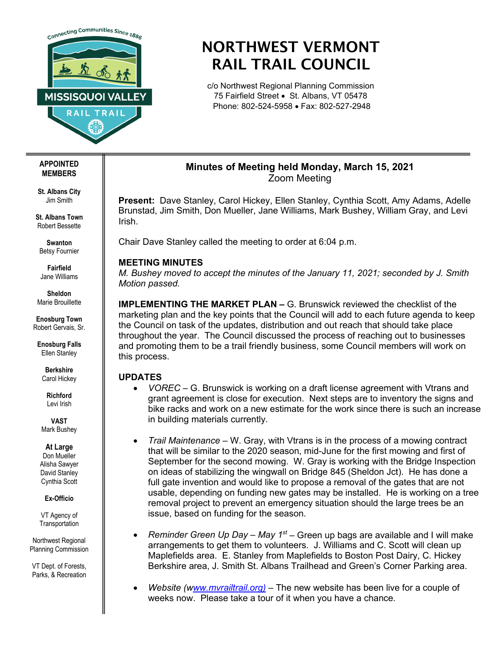

# NORTHWEST VERMONT RAIL TRAIL COUNCIL

c/o Northwest Regional Planning Commission 75 Fairfield Street • St. Albans, VT 05478 Phone: 802-524-5958 • Fax: 802-527-2948

## **Minutes of Meeting held Monday, March 15, 2021** Zoom Meeting

**Present:** Dave Stanley, Carol Hickey, Ellen Stanley, Cynthia Scott, Amy Adams, Adelle Brunstad, Jim Smith, Don Mueller, Jane Williams, Mark Bushey, William Gray, and Levi Irish.

Chair Dave Stanley called the meeting to order at 6:04 p.m.

## **MEETING MINUTES**

*M. Bushey moved to accept the minutes of the January 11, 2021; seconded by J. Smith Motion passed.* 

**IMPLEMENTING THE MARKET PLAN –** G. Brunswick reviewed the checklist of the marketing plan and the key points that the Council will add to each future agenda to keep the Council on task of the updates, distribution and out reach that should take place throughout the year. The Council discussed the process of reaching out to businesses and promoting them to be a trail friendly business, some Council members will work on this process.

## **UPDATES**

- *VOREC –* G. Brunswick is working on a draft license agreement with Vtrans and grant agreement is close for execution. Next steps are to inventory the signs and bike racks and work on a new estimate for the work since there is such an increase in building materials currently.
- *Trail Maintenance –* W. Gray, with Vtrans is in the process of a mowing contract that will be similar to the 2020 season, mid-June for the first mowing and first of September for the second mowing. W. Gray is working with the Bridge Inspection on ideas of stabilizing the wingwall on Bridge 845 (Sheldon Jct). He has done a full gate invention and would like to propose a removal of the gates that are not usable, depending on funding new gates may be installed. He is working on a tree removal project to prevent an emergency situation should the large trees be an issue, based on funding for the season.
- *Reminder Green Up Day – May 1st –* Green up bags are available and I will make arrangements to get them to volunteers. J. Williams and C. Scott will clean up Maplefields area. E. Stanley from Maplefields to Boston Post Dairy, C. Hickey Berkshire area, J. Smith St. Albans Trailhead and Green's Corner Parking area.
- *Website ([www.mvrailtrail.org\)](http://ww.mvrailtrail.org)/)* The new website has been live for a couple of weeks now. Please take a tour of it when you have a chance.

#### **APPOINTED MEMBERS**

**St. Albans City** Jim Smith

**St. Albans Town** Robert Bessette

**Swanton** Betsy Fournier

**Fairfield** Jane Williams

**Sheldon** Marie Brouillette

**Enosburg Town** Robert Gervais, Sr.

**Enosburg Falls** Ellen Stanley

> **Berkshire** Carol Hickey

**Richford** Levi Irish

**VAST** Mark Bushey

### **At Large**

Don Mueller Alisha Sawyer David Stanley Cynthia Scott

**Ex-Officio**

VT Agency of **Transportation** 

Northwest Regional Planning Commission

VT Dept. of Forests, Parks, & Recreation